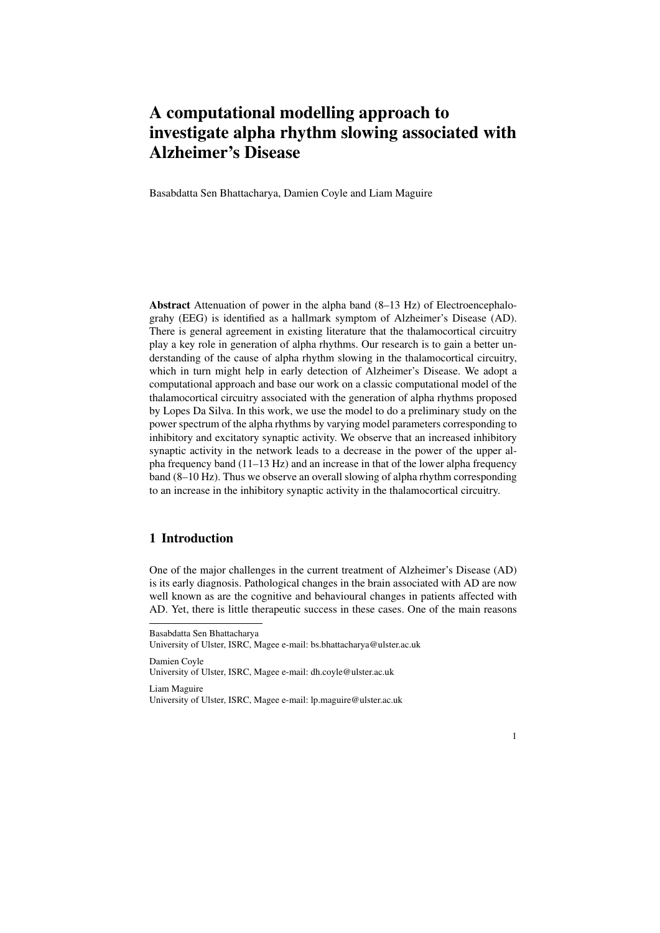# A computational modelling approach to investigate alpha rhythm slowing associated with Alzheimer's Disease

Basabdatta Sen Bhattacharya, Damien Coyle and Liam Maguire

Abstract Attenuation of power in the alpha band (8–13 Hz) of Electroencephalograhy (EEG) is identified as a hallmark symptom of Alzheimer's Disease (AD). There is general agreement in existing literature that the thalamocortical circuitry play a key role in generation of alpha rhythms. Our research is to gain a better understanding of the cause of alpha rhythm slowing in the thalamocortical circuitry, which in turn might help in early detection of Alzheimer's Disease. We adopt a computational approach and base our work on a classic computational model of the thalamocortical circuitry associated with the generation of alpha rhythms proposed by Lopes Da Silva. In this work, we use the model to do a preliminary study on the power spectrum of the alpha rhythms by varying model parameters corresponding to inhibitory and excitatory synaptic activity. We observe that an increased inhibitory synaptic activity in the network leads to a decrease in the power of the upper alpha frequency band (11–13 Hz) and an increase in that of the lower alpha frequency band (8–10 Hz). Thus we observe an overall slowing of alpha rhythm corresponding to an increase in the inhibitory synaptic activity in the thalamocortical circuitry.

# 1 Introduction

One of the major challenges in the current treatment of Alzheimer's Disease (AD) is its early diagnosis. Pathological changes in the brain associated with AD are now well known as are the cognitive and behavioural changes in patients affected with AD. Yet, there is little therapeutic success in these cases. One of the main reasons



Basabdatta Sen Bhattacharya

University of Ulster, ISRC, Magee e-mail: bs.bhattacharya@ulster.ac.uk

Damien Coyle University of Ulster, ISRC, Magee e-mail: dh.coyle@ulster.ac.uk

Liam Maguire University of Ulster, ISRC, Magee e-mail: lp.maguire@ulster.ac.uk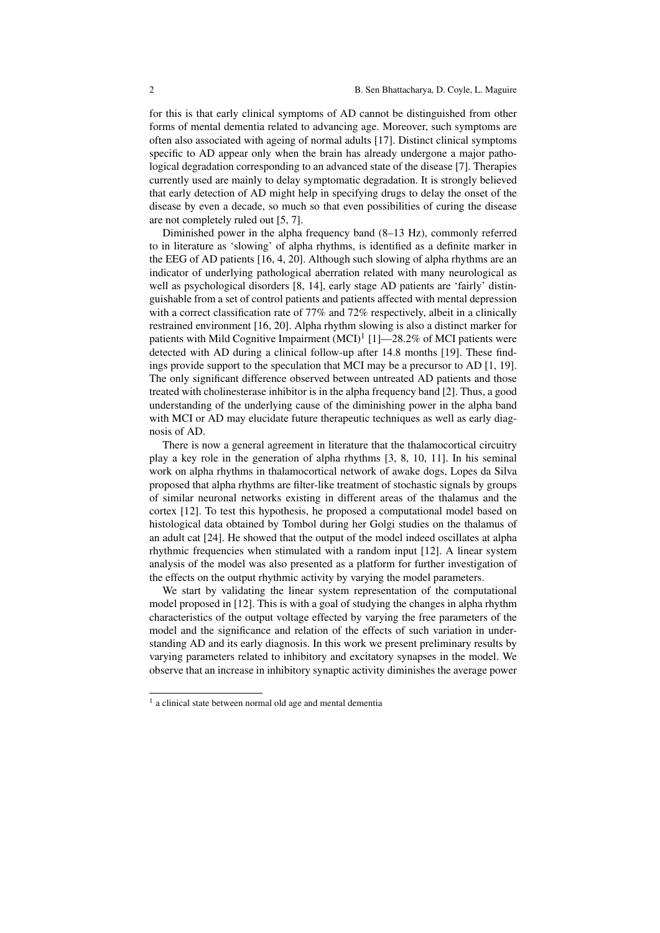for this is that early clinical symptoms of AD cannot be distinguished from other forms of mental dementia related to advancing age. Moreover, such symptoms are often also associated with ageing of normal adults [17]. Distinct clinical symptoms specific to AD appear only when the brain has already undergone a major pathological degradation corresponding to an advanced state of the disease [7]. Therapies currently used are mainly to delay symptomatic degradation. It is strongly believed that early detection of AD might help in specifying drugs to delay the onset of the disease by even a decade, so much so that even possibilities of curing the disease are not completely ruled out [5, 7].

Diminished power in the alpha frequency band (8–13 Hz), commonly referred to in literature as 'slowing' of alpha rhythms, is identified as a definite marker in the EEG of AD patients [16, 4, 20]. Although such slowing of alpha rhythms are an indicator of underlying pathological aberration related with many neurological as well as psychological disorders [8, 14], early stage AD patients are 'fairly' distinguishable from a set of control patients and patients affected with mental depression with a correct classification rate of 77% and 72% respectively, albeit in a clinically restrained environment [16, 20]. Alpha rhythm slowing is also a distinct marker for patients with Mild Cognitive Impairment  $(MCI)^1$  [1]—28.2% of MCI patients were detected with AD during a clinical follow-up after 14.8 months [19]. These findings provide support to the speculation that MCI may be a precursor to AD [1, 19]. The only significant difference observed between untreated AD patients and those treated with cholinesterase inhibitor is in the alpha frequency band [2]. Thus, a good understanding of the underlying cause of the diminishing power in the alpha band with MCI or AD may elucidate future therapeutic techniques as well as early diagnosis of AD.

There is now a general agreement in literature that the thalamocortical circuitry play a key role in the generation of alpha rhythms [3, 8, 10, 11]. In his seminal work on alpha rhythms in thalamocortical network of awake dogs, Lopes da Silva proposed that alpha rhythms are filter-like treatment of stochastic signals by groups of similar neuronal networks existing in different areas of the thalamus and the cortex [12]. To test this hypothesis, he proposed a computational model based on histological data obtained by Tombol during her Golgi studies on the thalamus of an adult cat [24]. He showed that the output of the model indeed oscillates at alpha rhythmic frequencies when stimulated with a random input [12]. A linear system analysis of the model was also presented as a platform for further investigation of the effects on the output rhythmic activity by varying the model parameters.

We start by validating the linear system representation of the computational model proposed in [12]. This is with a goal of studying the changes in alpha rhythm characteristics of the output voltage effected by varying the free parameters of the model and the significance and relation of the effects of such variation in understanding AD and its early diagnosis. In this work we present preliminary results by varying parameters related to inhibitory and excitatory synapses in the model. We observe that an increase in inhibitory synaptic activity diminishes the average power

<sup>&</sup>lt;sup>1</sup> a clinical state between normal old age and mental dementia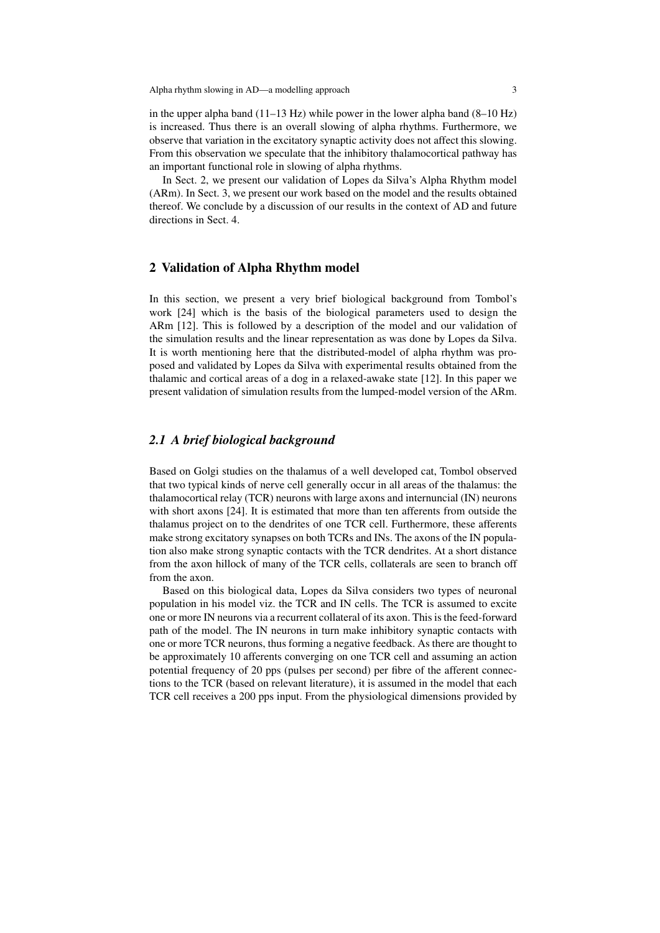Alpha rhythm slowing in AD—a modelling approach 3

in the upper alpha band (11–13 Hz) while power in the lower alpha band (8–10 Hz) is increased. Thus there is an overall slowing of alpha rhythms. Furthermore, we observe that variation in the excitatory synaptic activity does not affect this slowing. From this observation we speculate that the inhibitory thalamocortical pathway has an important functional role in slowing of alpha rhythms.

In Sect. 2, we present our validation of Lopes da Silva's Alpha Rhythm model (ARm). In Sect. 3, we present our work based on the model and the results obtained thereof. We conclude by a discussion of our results in the context of AD and future directions in Sect. 4.

# 2 Validation of Alpha Rhythm model

In this section, we present a very brief biological background from Tombol's work [24] which is the basis of the biological parameters used to design the ARm [12]. This is followed by a description of the model and our validation of the simulation results and the linear representation as was done by Lopes da Silva. It is worth mentioning here that the distributed-model of alpha rhythm was proposed and validated by Lopes da Silva with experimental results obtained from the thalamic and cortical areas of a dog in a relaxed-awake state [12]. In this paper we present validation of simulation results from the lumped-model version of the ARm.

## *2.1 A brief biological background*

Based on Golgi studies on the thalamus of a well developed cat, Tombol observed that two typical kinds of nerve cell generally occur in all areas of the thalamus: the thalamocortical relay (TCR) neurons with large axons and internuncial (IN) neurons with short axons [24]. It is estimated that more than ten afferents from outside the thalamus project on to the dendrites of one TCR cell. Furthermore, these afferents make strong excitatory synapses on both TCRs and INs. The axons of the IN population also make strong synaptic contacts with the TCR dendrites. At a short distance from the axon hillock of many of the TCR cells, collaterals are seen to branch off from the axon.

Based on this biological data, Lopes da Silva considers two types of neuronal population in his model viz. the TCR and IN cells. The TCR is assumed to excite one or more IN neurons via a recurrent collateral of its axon. This is the feed-forward path of the model. The IN neurons in turn make inhibitory synaptic contacts with one or more TCR neurons, thus forming a negative feedback. As there are thought to be approximately 10 afferents converging on one TCR cell and assuming an action potential frequency of 20 pps (pulses per second) per fibre of the afferent connections to the TCR (based on relevant literature), it is assumed in the model that each TCR cell receives a 200 pps input. From the physiological dimensions provided by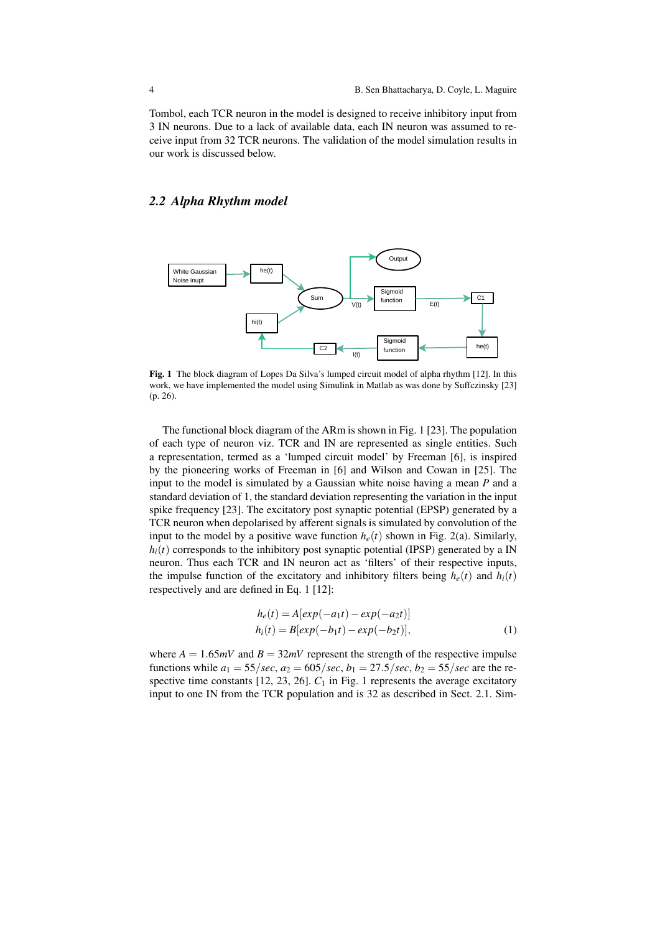Tombol, each TCR neuron in the model is designed to receive inhibitory input from 3 IN neurons. Due to a lack of available data, each IN neuron was assumed to receive input from 32 TCR neurons. The validation of the model simulation results in our work is discussed below.

# *2.2 Alpha Rhythm model*



Fig. 1 The block diagram of Lopes Da Silva's lumped circuit model of alpha rhythm [12]. In this work, we have implemented the model using Simulink in Matlab as was done by Suffczinsky [23] (p. 26).

The functional block diagram of the ARm is shown in Fig. 1 [23]. The population of each type of neuron viz. TCR and IN are represented as single entities. Such a representation, termed as a 'lumped circuit model' by Freeman [6], is inspired by the pioneering works of Freeman in [6] and Wilson and Cowan in [25]. The input to the model is simulated by a Gaussian white noise having a mean *P* and a standard deviation of 1, the standard deviation representing the variation in the input spike frequency [23]. The excitatory post synaptic potential (EPSP) generated by a TCR neuron when depolarised by afferent signals is simulated by convolution of the input to the model by a positive wave function  $h_e(t)$  shown in Fig. 2(a). Similarly,  $h_i(t)$  corresponds to the inhibitory post synaptic potential (IPSP) generated by a IN neuron. Thus each TCR and IN neuron act as 'filters' of their respective inputs, the impulse function of the excitatory and inhibitory filters being  $h_e(t)$  and  $h_i(t)$ respectively and are defined in Eq. 1 [12]:

$$
h_e(t) = A[exp(-a_1t) - exp(-a_2t)]
$$
  
\n
$$
h_i(t) = B[exp(-b_1t) - exp(-b_2t)],
$$
\n(1)

where  $A = 1.65mV$  and  $B = 32mV$  represent the strength of the respective impulse functions while  $a_1 = 55/sec$ ,  $a_2 = 605/sec$ ,  $b_1 = 27.5/sec$ ,  $b_2 = 55/sec$  are the respective time constants  $[12, 23, 26]$ .  $C_1$  in Fig. 1 represents the average excitatory input to one IN from the TCR population and is 32 as described in Sect. 2.1. Sim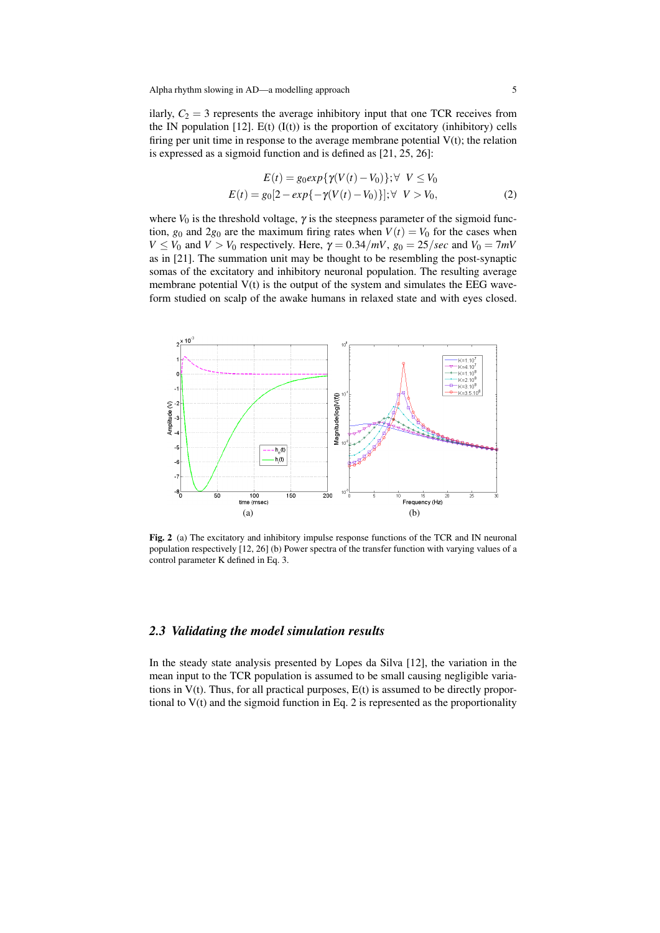ilarly,  $C_2 = 3$  represents the average inhibitory input that one TCR receives from the IN population  $[12]$ . E(t)  $(I(t))$  is the proportion of excitatory (inhibitory) cells firing per unit time in response to the average membrane potential  $V(t)$ ; the relation is expressed as a sigmoid function and is defined as [21, 25, 26]:

$$
E(t) = g_0 exp{\gamma(V(t) - V_0)}; \forall V \le V_0
$$
  
\n
$$
E(t) = g_0[2 - exp{-\gamma(V(t) - V_0)}]; \forall V > V_0,
$$
\n(2)

where  $V_0$  is the threshold voltage,  $\gamma$  is the steepness parameter of the sigmoid function,  $g_0$  and  $2g_0$  are the maximum firing rates when  $V(t) = V_0$  for the cases when  $V \leq V_0$  and  $V > V_0$  respectively. Here,  $\gamma = 0.34/mV$ ,  $g_0 = 25/sec$  and  $V_0 = 7mV$ as in [21]. The summation unit may be thought to be resembling the post-synaptic somas of the excitatory and inhibitory neuronal population. The resulting average membrane potential  $V(t)$  is the output of the system and simulates the EEG waveform studied on scalp of the awake humans in relaxed state and with eyes closed.



Fig. 2 (a) The excitatory and inhibitory impulse response functions of the TCR and IN neuronal population respectively [12, 26] (b) Power spectra of the transfer function with varying values of a control parameter K defined in Eq. 3.

#### *2.3 Validating the model simulation results*

In the steady state analysis presented by Lopes da Silva [12], the variation in the mean input to the TCR population is assumed to be small causing negligible variations in V(t). Thus, for all practical purposes, E(t) is assumed to be directly proportional to  $V(t)$  and the sigmoid function in Eq. 2 is represented as the proportionality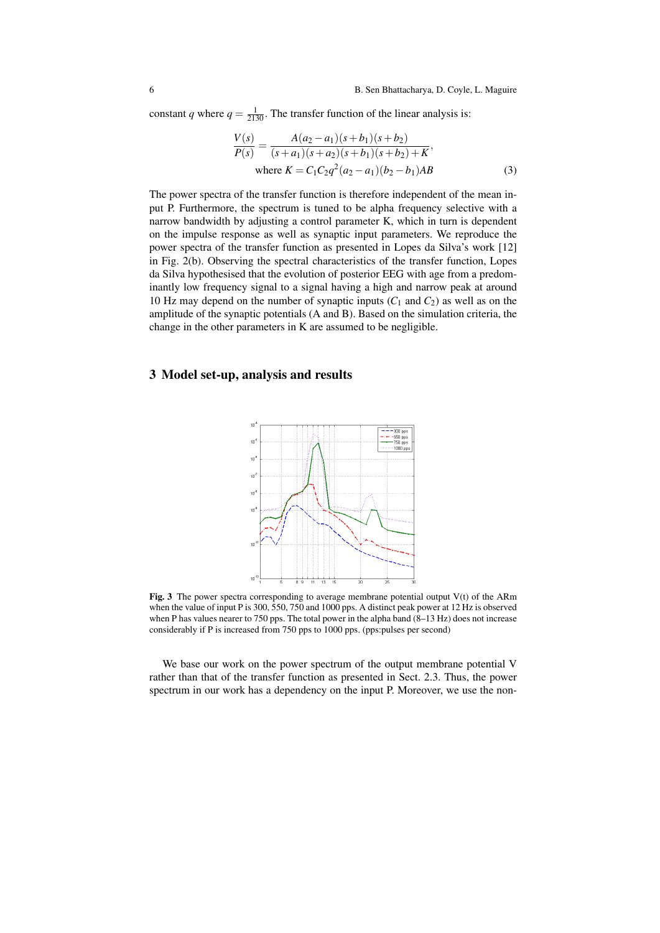constant *q* where  $q = \frac{1}{2130}$ . The transfer function of the linear analysis is:

$$
\frac{V(s)}{P(s)} = \frac{A(a_2 - a_1)(s + b_1)(s + b_2)}{(s + a_1)(s + a_2)(s + b_1)(s + b_2) + K'},
$$
  
where  $K = C_1C_2q^2(a_2 - a_1)(b_2 - b_1)AB$  (3)

The power spectra of the transfer function is therefore independent of the mean input P. Furthermore, the spectrum is tuned to be alpha frequency selective with a narrow bandwidth by adjusting a control parameter K, which in turn is dependent on the impulse response as well as synaptic input parameters. We reproduce the power spectra of the transfer function as presented in Lopes da Silva's work [12] in Fig. 2(b). Observing the spectral characteristics of the transfer function, Lopes da Silva hypothesised that the evolution of posterior EEG with age from a predominantly low frequency signal to a signal having a high and narrow peak at around 10 Hz may depend on the number of synaptic inputs  $(C_1$  and  $C_2$ ) as well as on the amplitude of the synaptic potentials (A and B). Based on the simulation criteria, the change in the other parameters in K are assumed to be negligible.

#### 3 Model set-up, analysis and results



Fig. 3 The power spectra corresponding to average membrane potential output  $V(t)$  of the ARm when the value of input P is 300, 550, 750 and 1000 pps. A distinct peak power at 12 Hz is observed when P has values nearer to 750 pps. The total power in the alpha band  $(8-13 \text{ Hz})$  does not increase considerably if P is increased from 750 pps to 1000 pps. (pps:pulses per second)

We base our work on the power spectrum of the output membrane potential V rather than that of the transfer function as presented in Sect. 2.3. Thus, the power spectrum in our work has a dependency on the input P. Moreover, we use the non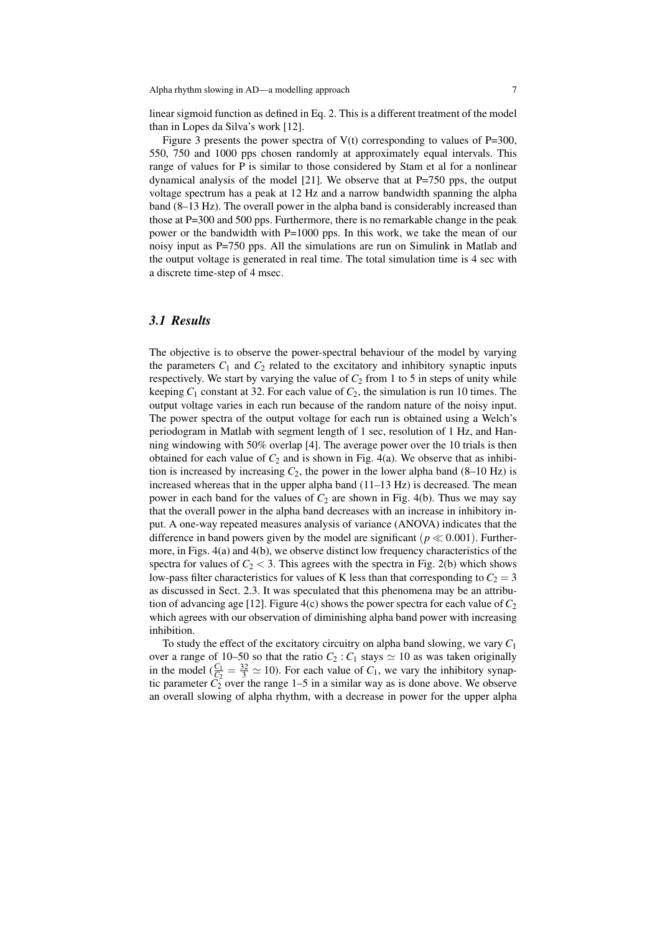linear sigmoid function as defined in Eq. 2. This is a different treatment of the model than in Lopes da Silva's work [12].

Figure 3 presents the power spectra of  $V(t)$  corresponding to values of P=300, 550, 750 and 1000 pps chosen randomly at approximately equal intervals. This range of values for P is similar to those considered by Stam et al for a nonlinear dynamical analysis of the model [21]. We observe that at  $P=750$  pps, the output voltage spectrum has a peak at 12 Hz and a narrow bandwidth spanning the alpha band (8–13 Hz). The overall power in the alpha band is considerably increased than those at P=300 and 500 pps. Furthermore, there is no remarkable change in the peak power or the bandwidth with P=1000 pps. In this work, we take the mean of our noisy input as P=750 pps. All the simulations are run on Simulink in Matlab and the output voltage is generated in real time. The total simulation time is 4 sec with a discrete time-step of 4 msec.

# *3.1 Results*

The objective is to observe the power-spectral behaviour of the model by varying the parameters  $C_1$  and  $C_2$  related to the excitatory and inhibitory synaptic inputs respectively. We start by varying the value of  $C_2$  from 1 to 5 in steps of unity while keeping  $C_1$  constant at 32. For each value of  $C_2$ , the simulation is run 10 times. The output voltage varies in each run because of the random nature of the noisy input. The power spectra of the output voltage for each run is obtained using a Welch's periodogram in Matlab with segment length of 1 sec, resolution of 1 Hz, and Hanning windowing with 50% overlap [4]. The average power over the 10 trials is then obtained for each value of  $C_2$  and is shown in Fig. 4(a). We observe that as inhibition is increased by increasing  $C_2$ , the power in the lower alpha band (8–10 Hz) is increased whereas that in the upper alpha band (11–13 Hz) is decreased. The mean power in each band for the values of  $C_2$  are shown in Fig. 4(b). Thus we may say that the overall power in the alpha band decreases with an increase in inhibitory input. A one-way repeated measures analysis of variance (ANOVA) indicates that the difference in band powers given by the model are significant ( $p \ll 0.001$ ). Furthermore, in Figs. 4(a) and 4(b), we observe distinct low frequency characteristics of the spectra for values of  $C_2 < 3$ . This agrees with the spectra in Fig. 2(b) which shows low-pass filter characteristics for values of K less than that corresponding to  $C_2 = 3$ as discussed in Sect. 2.3. It was speculated that this phenomena may be an attribution of advancing age [12]. Figure 4(c) shows the power spectra for each value of  $C_2$ which agrees with our observation of diminishing alpha band power with increasing inhibition.

To study the effect of the excitatory circuitry on alpha band slowing, we vary *C*<sup>1</sup> over a range of 10–50 so that the ratio  $C_2$ :  $C_1$  stays  $\simeq$  10 as was taken originally in the model  $(\frac{C_1}{C_2} = \frac{32}{3} \simeq 10)$ . For each value of  $C_1$ , we vary the inhibitory synaptic parameter  $C_2$  over the range  $1-5$  in a similar way as is done above. We observe an overall slowing of alpha rhythm, with a decrease in power for the upper alpha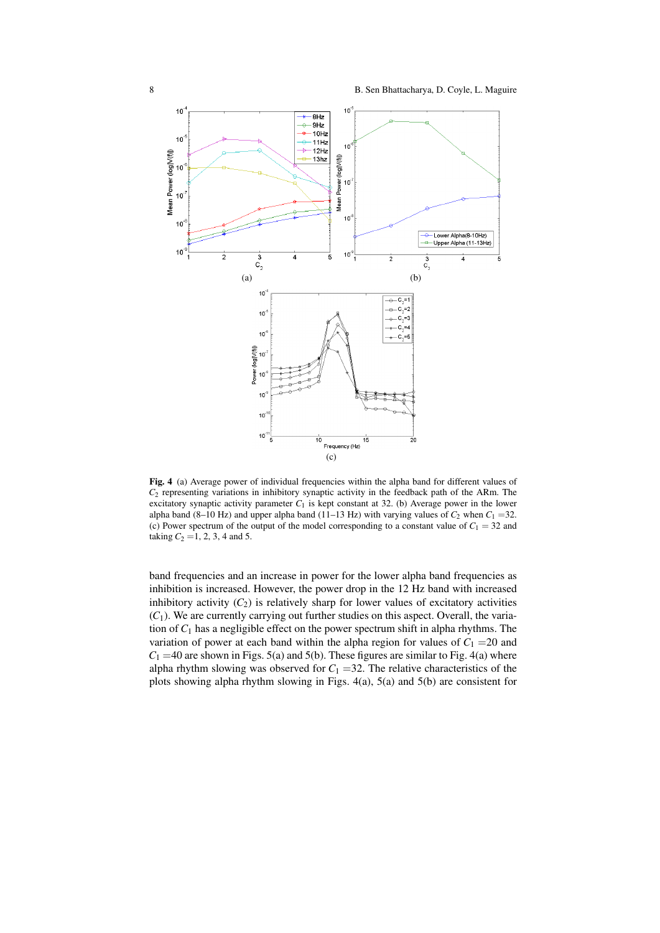

Fig. 4 (a) Average power of individual frequencies within the alpha band for different values of *C*<sup>2</sup> representing variations in inhibitory synaptic activity in the feedback path of the ARm. The excitatory synaptic activity parameter  $C_1$  is kept constant at 32. (b) Average power in the lower alpha band (8–10 Hz) and upper alpha band (11–13 Hz) with varying values of  $C_2$  when  $C_1$  =32. (c) Power spectrum of the output of the model corresponding to a constant value of  $C_1 = 32$  and taking  $C_2 = 1, 2, 3, 4$  and 5.

band frequencies and an increase in power for the lower alpha band frequencies as inhibition is increased. However, the power drop in the 12 Hz band with increased inhibitory activity  $(C_2)$  is relatively sharp for lower values of excitatory activities  $(C_1)$ . We are currently carrying out further studies on this aspect. Overall, the variation of *C*<sup>1</sup> has a negligible effect on the power spectrum shift in alpha rhythms. The variation of power at each band within the alpha region for values of  $C_1 = 20$  and  $C_1$  =40 are shown in Figs. 5(a) and 5(b). These figures are similar to Fig. 4(a) where alpha rhythm slowing was observed for  $C_1 = 32$ . The relative characteristics of the plots showing alpha rhythm slowing in Figs. 4(a), 5(a) and 5(b) are consistent for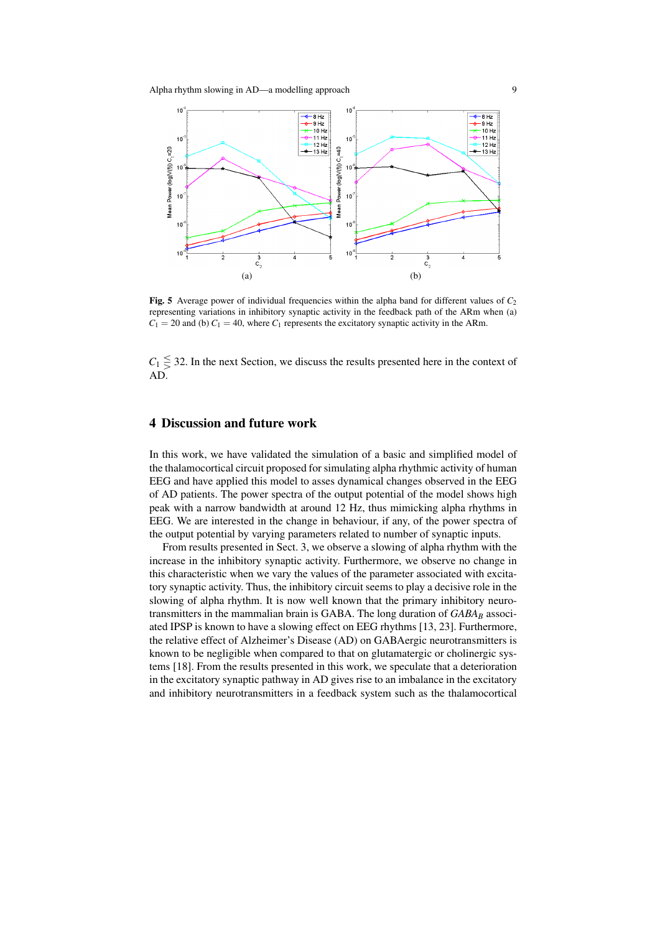

Fig. 5 Average power of individual frequencies within the alpha band for different values of *C*<sup>2</sup> representing variations in inhibitory synaptic activity in the feedback path of the ARm when (a)  $C_1 = 20$  and (b)  $C_1 = 40$ , where  $C_1$  represents the excitatory synaptic activity in the ARm.

 $C_1 \leq 32$ . In the next Section, we discuss the results presented here in the context of AD.

# 4 Discussion and future work

In this work, we have validated the simulation of a basic and simplified model of the thalamocortical circuit proposed for simulating alpha rhythmic activity of human EEG and have applied this model to asses dynamical changes observed in the EEG of AD patients. The power spectra of the output potential of the model shows high peak with a narrow bandwidth at around 12 Hz, thus mimicking alpha rhythms in EEG. We are interested in the change in behaviour, if any, of the power spectra of the output potential by varying parameters related to number of synaptic inputs.

From results presented in Sect. 3, we observe a slowing of alpha rhythm with the increase in the inhibitory synaptic activity. Furthermore, we observe no change in this characteristic when we vary the values of the parameter associated with excitatory synaptic activity. Thus, the inhibitory circuit seems to play a decisive role in the slowing of alpha rhythm. It is now well known that the primary inhibitory neurotransmitters in the mammalian brain is GABA. The long duration of *GABA<sup>B</sup>* associated IPSP is known to have a slowing effect on EEG rhythms [13, 23]. Furthermore, the relative effect of Alzheimer's Disease (AD) on GABAergic neurotransmitters is known to be negligible when compared to that on glutamatergic or cholinergic systems [18]. From the results presented in this work, we speculate that a deterioration in the excitatory synaptic pathway in AD gives rise to an imbalance in the excitatory and inhibitory neurotransmitters in a feedback system such as the thalamocortical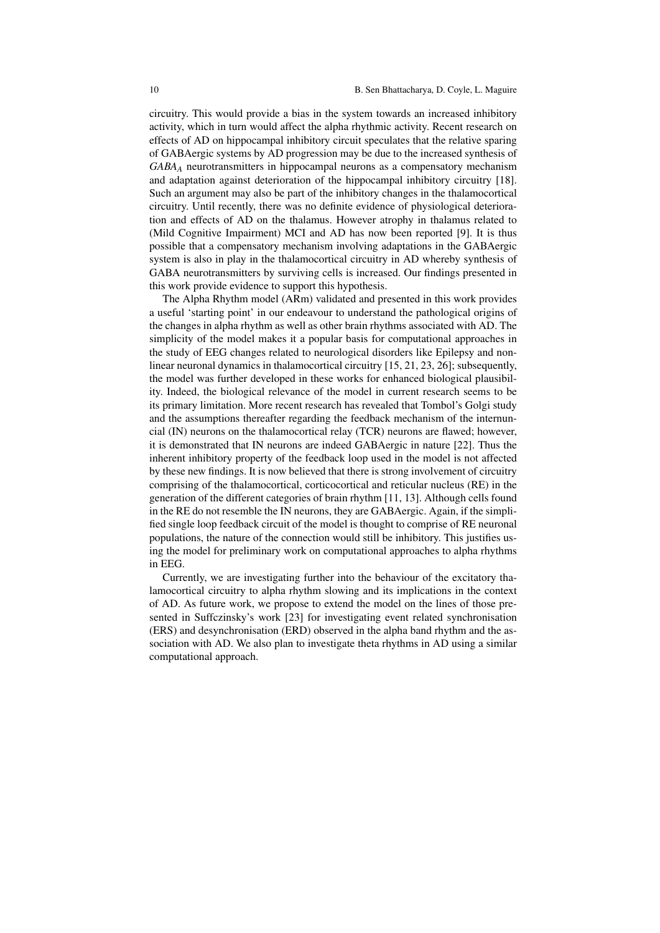circuitry. This would provide a bias in the system towards an increased inhibitory activity, which in turn would affect the alpha rhythmic activity. Recent research on effects of AD on hippocampal inhibitory circuit speculates that the relative sparing of GABAergic systems by AD progression may be due to the increased synthesis of *GABA<sup>A</sup>* neurotransmitters in hippocampal neurons as a compensatory mechanism and adaptation against deterioration of the hippocampal inhibitory circuitry [18]. Such an argument may also be part of the inhibitory changes in the thalamocortical circuitry. Until recently, there was no definite evidence of physiological deterioration and effects of AD on the thalamus. However atrophy in thalamus related to (Mild Cognitive Impairment) MCI and AD has now been reported [9]. It is thus possible that a compensatory mechanism involving adaptations in the GABAergic system is also in play in the thalamocortical circuitry in AD whereby synthesis of GABA neurotransmitters by surviving cells is increased. Our findings presented in this work provide evidence to support this hypothesis.

The Alpha Rhythm model (ARm) validated and presented in this work provides a useful 'starting point' in our endeavour to understand the pathological origins of the changes in alpha rhythm as well as other brain rhythms associated with AD. The simplicity of the model makes it a popular basis for computational approaches in the study of EEG changes related to neurological disorders like Epilepsy and nonlinear neuronal dynamics in thalamocortical circuitry [15, 21, 23, 26]; subsequently, the model was further developed in these works for enhanced biological plausibility. Indeed, the biological relevance of the model in current research seems to be its primary limitation. More recent research has revealed that Tombol's Golgi study and the assumptions thereafter regarding the feedback mechanism of the internuncial (IN) neurons on the thalamocortical relay (TCR) neurons are flawed; however, it is demonstrated that IN neurons are indeed GABAergic in nature [22]. Thus the inherent inhibitory property of the feedback loop used in the model is not affected by these new findings. It is now believed that there is strong involvement of circuitry comprising of the thalamocortical, corticocortical and reticular nucleus (RE) in the generation of the different categories of brain rhythm [11, 13]. Although cells found in the RE do not resemble the IN neurons, they are GABAergic. Again, if the simplified single loop feedback circuit of the model is thought to comprise of RE neuronal populations, the nature of the connection would still be inhibitory. This justifies using the model for preliminary work on computational approaches to alpha rhythms in EEG.

Currently, we are investigating further into the behaviour of the excitatory thalamocortical circuitry to alpha rhythm slowing and its implications in the context of AD. As future work, we propose to extend the model on the lines of those presented in Suffczinsky's work [23] for investigating event related synchronisation (ERS) and desynchronisation (ERD) observed in the alpha band rhythm and the association with AD. We also plan to investigate theta rhythms in AD using a similar computational approach.